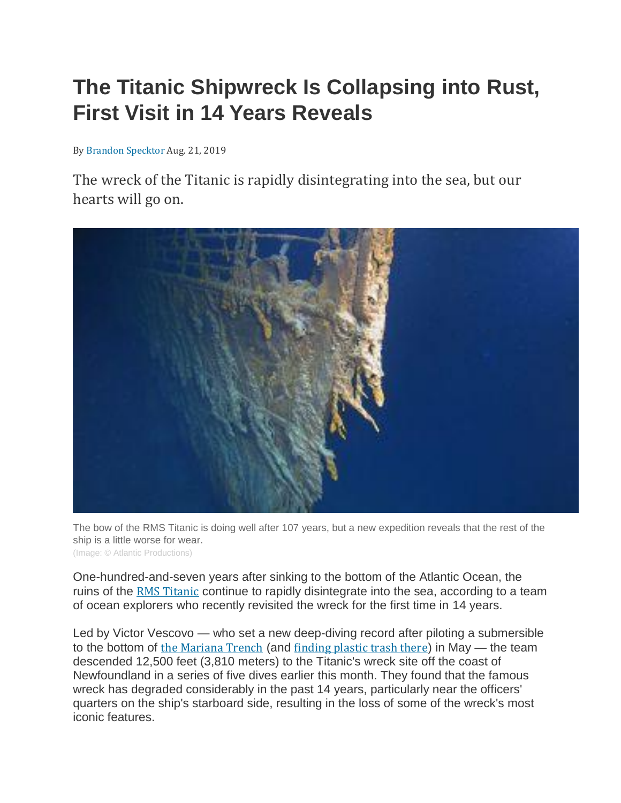## **The Titanic Shipwreck Is Collapsing into Rust, First Visit in 14 Years Reveals**

By Brandon [Specktor](https://www.livescience.com/author/brandon-specktor) Aug. 21, 2019

The wreck of the Titanic is rapidly disintegrating into the sea, but our hearts will go on.



The bow of the RMS Titanic is doing well after 107 years, but a new expedition reveals that the rest of the ship is a little worse for wear. (Image: © Atlantic Productions)

One-hundred-and-seven years after sinking to the bottom of the Atlantic Ocean, the ruins of the RMS [Titanic](https://www.livescience.com/38102-titanic-facts.html) continue to rapidly disintegrate into the sea, according to a team of ocean explorers who recently revisited the wreck for the first time in 14 years.

Led by Victor Vescovo — who set a new deep-diving record after piloting a submersible to the bottom of the [Mariana](https://www.livescience.com/23387-mariana-trench.html) Trench (and [finding](https://www.livescience.com/65468-explorer-breaks-record-deepest-ocean-dive.html) plastic trash there) in May — the team descended 12,500 feet (3,810 meters) to the Titanic's wreck site off the coast of Newfoundland in a series of five dives earlier this month. They found that the famous wreck has degraded considerably in the past 14 years, particularly near the officers' quarters on the ship's starboard side, resulting in the loss of some of the wreck's most iconic features.